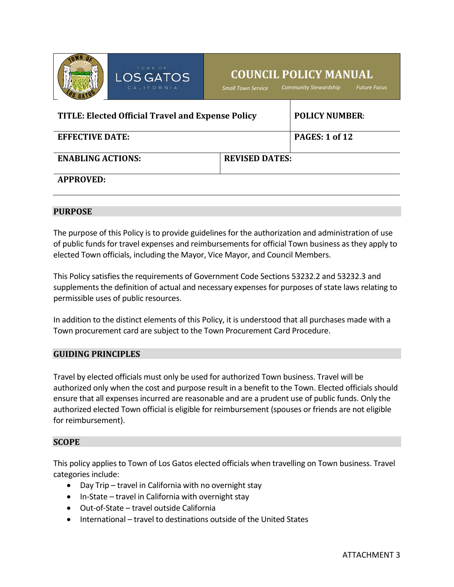

# LOS GAT

# **COUNCIL POLICY MANUAL**

*Small Town Service Community Stewardship Future Focus*

| <b>TITLE: Elected Official Travel and Expense Policy</b> |                       | <b>POLICY NUMBER:</b> |
|----------------------------------------------------------|-----------------------|-----------------------|
| <b>EFFECTIVE DATE:</b>                                   |                       | <b>PAGES: 1 of 12</b> |
| <b>ENABLING ACTIONS:</b>                                 | <b>REVISED DATES:</b> |                       |
| <b>APPROVED:</b>                                         |                       |                       |

#### **PURPOSE**

The purpose of this Policy is to provide guidelines for the authorization and administration of use of public funds for travel expenses and reimbursements for official Town business as they apply to elected Town officials, including the Mayor, Vice Mayor, and Council Members.

This Policy satisfies the requirements of Government Code Sections 53232.2 and 53232.3 and supplements the definition of actual and necessary expenses for purposes of state laws relating to permissible uses of public resources.

In addition to the distinct elements of this Policy, it is understood that all purchases made with a Town procurement card are subject to the Town Procurement Card Procedure.

#### **GUIDING PRINCIPLES**

Travel by elected officials must only be used for authorized Town business. Travel will be authorized only when the cost and purpose result in a benefit to the Town. Elected officials should ensure that all expenses incurred are reasonable and are a prudent use of public funds. Only the authorized elected Town official is eligible for reimbursement (spouses or friends are not eligible for reimbursement).

#### **SCOPE**

This policy applies to Town of Los Gatos elected officials when travelling on Town business. Travel categories include:

- Day Trip travel in California with no overnight stay
- In-State travel in California with overnight stay
- Out-of-State travel outside California
- International travel to destinations outside of the United States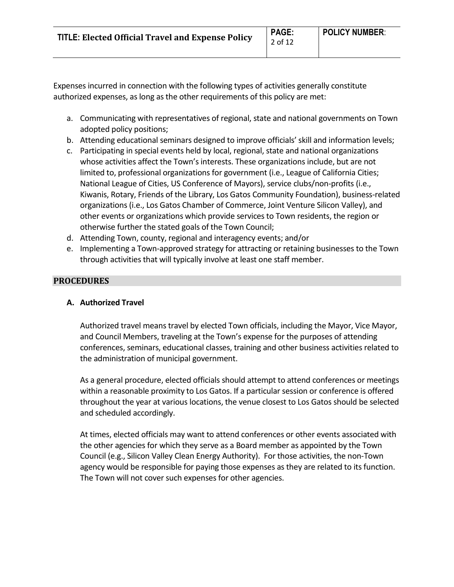Expenses incurred in connection with the following types of activities generally constitute authorized expenses, as long as the other requirements of this policy are met:

- a. Communicating with representatives of regional, state and national governments on Town adopted policy positions;
- b. Attending educational seminars designed to improve officials' skill and information levels;
- c. Participating in special events held by local, regional, state and national organizations whose activities affect the Town's interests. These organizations include, but are not limited to, professional organizations for government (i.e., League of California Cities; National League of Cities, US Conference of Mayors), service clubs/non-profits (i.e., Kiwanis, Rotary, Friends of the Library, Los Gatos Community Foundation), business-related organizations (i.e., Los Gatos Chamber of Commerce, Joint Venture Silicon Valley), and other events or organizations which provide services to Town residents, the region or otherwise further the stated goals of the Town Council;
- d. Attending Town, county, regional and interagency events; and/or
- e. Implementing a Town-approved strategy for attracting or retaining businesses to the Town through activities that will typically involve at least one staff member.

# **PROCEDURES**

# **A. Authorized Travel**

Authorized travel means travel by elected Town officials, including the Mayor, Vice Mayor, and Council Members, traveling at the Town's expense for the purposes of attending conferences, seminars, educational classes, training and other business activities related to the administration of municipal government.

As a general procedure, elected officials should attempt to attend conferences or meetings within a reasonable proximity to Los Gatos. If a particular session or conference is offered throughout the year at various locations, the venue closest to Los Gatos should be selected and scheduled accordingly.

At times, elected officials may want to attend conferences or other events associated with the other agencies for which they serve as a Board member as appointed by the Town Council (e.g., Silicon Valley Clean Energy Authority). For those activities, the non-Town agency would be responsible for paying those expenses as they are related to its function. The Town will not cover such expenses for other agencies.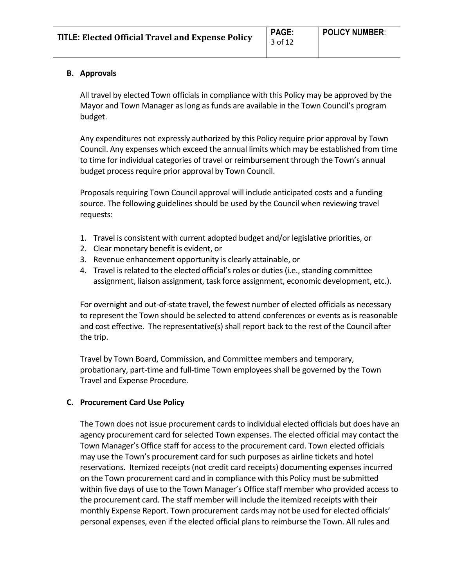# **B. Approvals**

All travel by elected Town officials in compliance with this Policy may be approved by the Mayor and Town Manager as long as funds are available in the Town Council's program budget.

Any expenditures not expressly authorized by this Policy require prior approval by Town Council. Any expenses which exceed the annual limits which may be established from time to time for individual categories of travel or reimbursement through the Town's annual budget process require prior approval by Town Council.

Proposals requiring Town Council approval will include anticipated costs and a funding source. The following guidelines should be used by the Council when reviewing travel requests:

- 1. Travel is consistent with current adopted budget and/or legislative priorities, or
- 2. Clear monetary benefit is evident, or
- 3. Revenue enhancement opportunity is clearly attainable, or
- 4. Travel is related to the elected official's roles or duties (i.e., standing committee assignment, liaison assignment, task force assignment, economic development, etc.).

For overnight and out-of-state travel, the fewest number of elected officials as necessary to represent the Town should be selected to attend conferences or events as is reasonable and cost effective. The representative(s) shall report back to the rest of the Council after the trip.

Travel by Town Board, Commission, and Committee members and temporary, probationary, part-time and full-time Town employees shall be governed by the Town Travel and Expense Procedure.

# **C. Procurement Card Use Policy**

The Town does not issue procurement cards to individual elected officials but does have an agency procurement card for selected Town expenses. The elected official may contact the Town Manager's Office staff for access to the procurement card. Town elected officials may use the Town's procurement card for such purposes as airline tickets and hotel reservations. Itemized receipts (not credit card receipts) documenting expenses incurred on the Town procurement card and in compliance with this Policy must be submitted within five days of use to the Town Manager's Office staff member who provided access to the procurement card. The staff member will include the itemized receipts with their monthly Expense Report. Town procurement cards may not be used for elected officials' personal expenses, even if the elected official plans to reimburse the Town. All rules and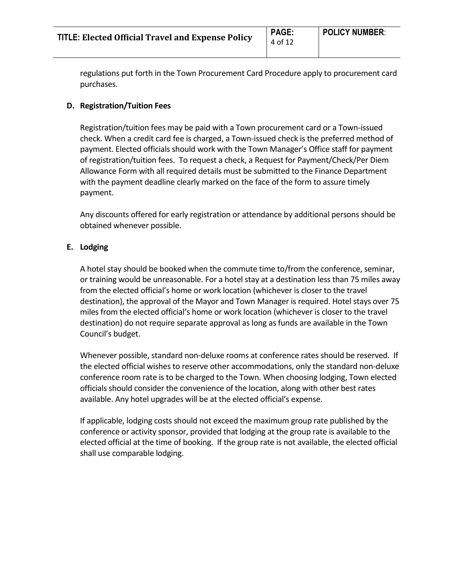regulations put forth in the Town Procurement Card Procedure apply to procurement card purchases.

# **D. Registration/Tuition Fees**

Registration/tuition fees may be paid with a Town procurement card or a Town-issued check. When a credit card fee is charged, a Town-issued check is the preferred method of payment. Elected officials should work with the Town Manager's Office staff for payment of registration/tuition fees. To request a check, a Request for Payment/Check/Per Diem Allowance Form with all required details must be submitted to the Finance Department with the payment deadline clearly marked on the face of the form to assure timely payment.

Any discounts offered for early registration or attendance by additional persons should be obtained whenever possible.

# **E. Lodging**

A hotel stay should be booked when the commute time to/from the conference, seminar, or training would be unreasonable. For a hotel stay at a destination less than 75 miles away from the elected official's home or work location (whichever is closer to the travel destination), the approval of the Mayor and Town Manager is required. Hotel stays over 75 miles from the elected official's home or work location (whichever is closer to the travel destination) do not require separate approval as long as funds are available in the Town Council's budget.

Whenever possible, standard non-deluxe rooms at conference rates should be reserved. If the elected official wishes to reserve other accommodations, only the standard non-deluxe conference room rate is to be charged to the Town. When choosing lodging, Town elected officials should consider the convenience of the location, along with other best rates available. Any hotel upgrades will be at the elected official's expense.

If applicable, lodging costs should not exceed the maximum group rate published by the conference or activity sponsor, provided that lodging at the group rate is available to the elected official at the time of booking. If the group rate is not available, the elected official shall use comparable lodging.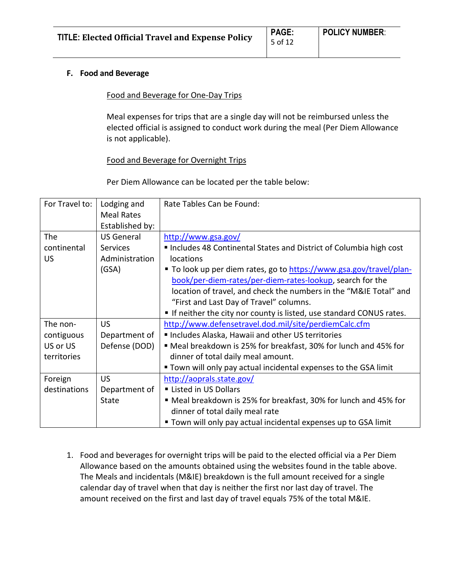| <b>TITLE: Elected Official Travel and Expense Policy</b> | <b>PAGE:</b> | <b>POLICY NUMBER:</b> |
|----------------------------------------------------------|--------------|-----------------------|
|                                                          | 5 of 12      |                       |

#### **F. Food and Beverage**

#### Food and Beverage for One-Day Trips

Meal expenses for trips that are a single day will not be reimbursed unless the elected official is assigned to conduct work during the meal (Per Diem Allowance is not applicable).

# Food and Beverage for Overnight Trips

Per Diem Allowance can be located per the table below:

| For Travel to: | Lodging and       | Rate Tables Can be Found:                                           |
|----------------|-------------------|---------------------------------------------------------------------|
|                | <b>Meal Rates</b> |                                                                     |
|                | Established by:   |                                                                     |
| The            | <b>US General</b> | http://www.gsa.gov/                                                 |
| continental    | <b>Services</b>   | Includes 48 Continental States and District of Columbia high cost   |
| <b>US</b>      | Administration    | locations                                                           |
|                | (GSA)             | ■ To look up per diem rates, go to https://www.gsa.gov/travel/plan- |
|                |                   | book/per-diem-rates/per-diem-rates-lookup, search for the           |
|                |                   | location of travel, and check the numbers in the "M&IE Total" and   |
|                |                   | "First and Last Day of Travel" columns.                             |
|                |                   | If neither the city nor county is listed, use standard CONUS rates. |
| The non-       | <b>US</b>         | http://www.defensetravel.dod.mil/site/perdiemCalc.cfm               |
| contiguous     | Department of     | Includes Alaska, Hawaii and other US territories                    |
| US or US       | Defense (DOD)     | ■ Meal breakdown is 25% for breakfast, 30% for lunch and 45% for    |
| territories    |                   | dinner of total daily meal amount.                                  |
|                |                   | " Town will only pay actual incidental expenses to the GSA limit    |
| Foreign        | <b>US</b>         | http://aoprals.state.gov/                                           |
| destinations   | Department of     | Listed in US Dollars                                                |
|                | State             | ■ Meal breakdown is 25% for breakfast, 30% for lunch and 45% for    |
|                |                   | dinner of total daily meal rate                                     |
|                |                   | " Town will only pay actual incidental expenses up to GSA limit     |

1. Food and beverages for overnight trips will be paid to the elected official via a Per Diem Allowance based on the amounts obtained using the websites found in the table above. The Meals and incidentals (M&IE) breakdown is the full amount received for a single calendar day of travel when that day is neither the first nor last day of travel. The amount received on the first and last day of travel equals 75% of the total M&IE.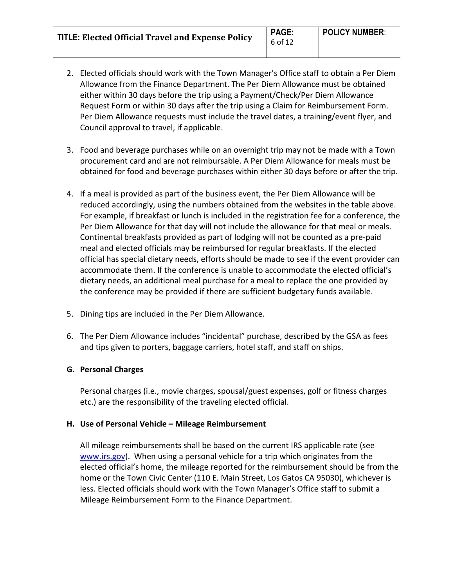**TITLE: Elected Official Travel and Expense Policy PAGE:**

- 2. Elected officials should work with the Town Manager's Office staff to obtain a Per Diem Allowance from the Finance Department. The Per Diem Allowance must be obtained either within 30 days before the trip using a Payment/Check/Per Diem Allowance Request Form or within 30 days after the trip using a Claim for Reimbursement Form. Per Diem Allowance requests must include the travel dates, a training/event flyer, and Council approval to travel, if applicable.
- 3. Food and beverage purchases while on an overnight trip may not be made with a Town procurement card and are not reimbursable. A Per Diem Allowance for meals must be obtained for food and beverage purchases within either 30 days before or after the trip.
- 4. If a meal is provided as part of the business event, the Per Diem Allowance will be reduced accordingly, using the numbers obtained from the websites in the table above. For example, if breakfast or lunch is included in the registration fee for a conference, the Per Diem Allowance for that day will not include the allowance for that meal or meals. Continental breakfasts provided as part of lodging will not be counted as a pre-paid meal and elected officials may be reimbursed for regular breakfasts. If the elected official has special dietary needs, efforts should be made to see if the event provider can accommodate them. If the conference is unable to accommodate the elected official's dietary needs, an additional meal purchase for a meal to replace the one provided by the conference may be provided if there are sufficient budgetary funds available.
- 5. Dining tips are included in the Per Diem Allowance.
- 6. The Per Diem Allowance includes "incidental" purchase, described by the GSA as fees and tips given to porters, baggage carriers, hotel staff, and staff on ships.

# **G. Personal Charges**

Personal charges (i.e., movie charges, spousal/guest expenses, golf or fitness charges etc.) are the responsibility of the traveling elected official.

#### **H. Use of Personal Vehicle – Mileage Reimbursement**

All mileage reimbursements shall be based on the current IRS applicable rate (see [www.irs.gov\)](http://www.irs.gov/). When using a personal vehicle for a trip which originates from the elected official's home, the mileage reported for the reimbursement should be from the home or the Town Civic Center (110 E. Main Street, Los Gatos CA 95030), whichever is less. Elected officials should work with the Town Manager's Office staff to submit a Mileage Reimbursement Form to the Finance Department.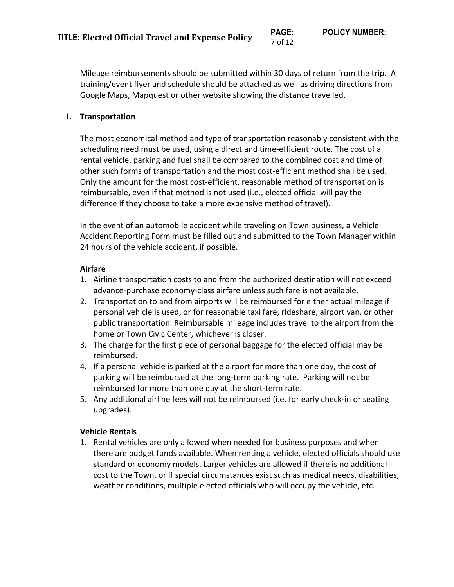7 of 12

Mileage reimbursements should be submitted within 30 days of return from the trip. A training/event flyer and schedule should be attached as well as driving directions from Google Maps, Mapquest or other website showing the distance travelled.

# **I. Transportation**

The most economical method and type of transportation reasonably consistent with the scheduling need must be used, using a direct and time-efficient route. The cost of a rental vehicle, parking and fuel shall be compared to the combined cost and time of other such forms of transportation and the most cost-efficient method shall be used. Only the amount for the most cost-efficient, reasonable method of transportation is reimbursable, even if that method is not used (i.e., elected official will pay the difference if they choose to take a more expensive method of travel).

In the event of an automobile accident while traveling on Town business, a Vehicle Accident Reporting Form must be filled out and submitted to the Town Manager within 24 hours of the vehicle accident, if possible.

# **Airfare**

- 1. Airline transportation costs to and from the authorized destination will not exceed advance-purchase economy-class airfare unless such fare is not available.
- 2. Transportation to and from airports will be reimbursed for either actual mileage if personal vehicle is used, or for reasonable taxi fare, rideshare, airport van, or other public transportation. Reimbursable mileage includes travel to the airport from the home or Town Civic Center, whichever is closer.
- 3. The charge for the first piece of personal baggage for the elected official may be reimbursed.
- 4. If a personal vehicle is parked at the airport for more than one day, the cost of parking will be reimbursed at the long-term parking rate. Parking will not be reimbursed for more than one day at the short-term rate.
- 5. Any additional airline fees will not be reimbursed (i.e. for early check-in or seating upgrades).

# **Vehicle Rentals**

1. Rental vehicles are only allowed when needed for business purposes and when there are budget funds available. When renting a vehicle, elected officials should use standard or economy models. Larger vehicles are allowed if there is no additional cost to the Town, or if special circumstances exist such as medical needs, disabilities, weather conditions, multiple elected officials who will occupy the vehicle, etc.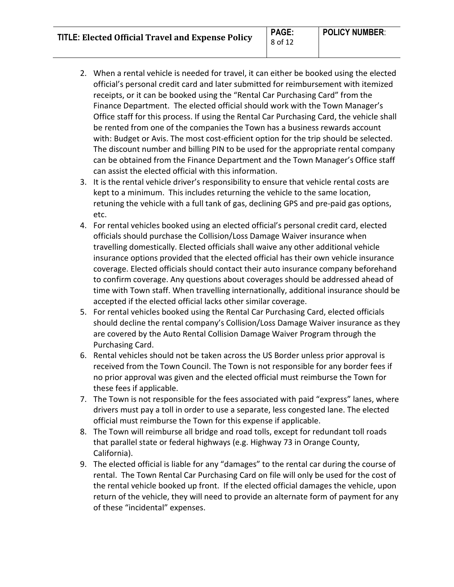**TITLE: Elected Official Travel and Expense Policy PAGE:**

- 2. When a rental vehicle is needed for travel, it can either be booked using the elected official's personal credit card and later submitted for reimbursement with itemized receipts, or it can be booked using the "Rental Car Purchasing Card" from the Finance Department. The elected official should work with the Town Manager's Office staff for this process. If using the Rental Car Purchasing Card, the vehicle shall be rented from one of the companies the Town has a business rewards account with: Budget or Avis. The most cost-efficient option for the trip should be selected. The discount number and billing PIN to be used for the appropriate rental company can be obtained from the Finance Department and the Town Manager's Office staff can assist the elected official with this information.
- 3. It is the rental vehicle driver's responsibility to ensure that vehicle rental costs are kept to a minimum. This includes returning the vehicle to the same location, retuning the vehicle with a full tank of gas, declining GPS and pre-paid gas options, etc.
- 4. For rental vehicles booked using an elected official's personal credit card, elected officials should purchase the Collision/Loss Damage Waiver insurance when travelling domestically. Elected officials shall waive any other additional vehicle insurance options provided that the elected official has their own vehicle insurance coverage. Elected officials should contact their auto insurance company beforehand to confirm coverage. Any questions about coverages should be addressed ahead of time with Town staff. When travelling internationally, additional insurance should be accepted if the elected official lacks other similar coverage.
- 5. For rental vehicles booked using the Rental Car Purchasing Card, elected officials should decline the rental company's Collision/Loss Damage Waiver insurance as they are covered by the Auto Rental Collision Damage Waiver Program through the Purchasing Card.
- 6. Rental vehicles should not be taken across the US Border unless prior approval is received from the Town Council. The Town is not responsible for any border fees if no prior approval was given and the elected official must reimburse the Town for these fees if applicable.
- 7. The Town is not responsible for the fees associated with paid "express" lanes, where drivers must pay a toll in order to use a separate, less congested lane. The elected official must reimburse the Town for this expense if applicable.
- 8. The Town will reimburse all bridge and road tolls, except for redundant toll roads that parallel state or federal highways (e.g. Highway 73 in Orange County, California).
- 9. The elected official is liable for any "damages" to the rental car during the course of rental. The Town Rental Car Purchasing Card on file will only be used for the cost of the rental vehicle booked up front. If the elected official damages the vehicle, upon return of the vehicle, they will need to provide an alternate form of payment for any of these "incidental" expenses.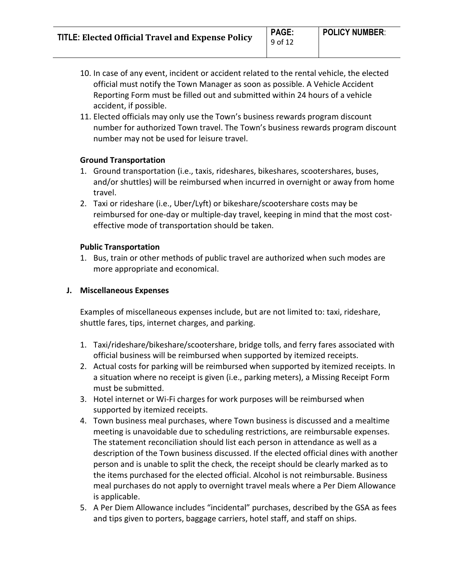- 10. In case of any event, incident or accident related to the rental vehicle, the elected official must notify the Town Manager as soon as possible. A Vehicle Accident Reporting Form must be filled out and submitted within 24 hours of a vehicle accident, if possible.
- 11. Elected officials may only use the Town's business rewards program discount number for authorized Town travel. The Town's business rewards program discount number may not be used for leisure travel.

#### **Ground Transportation**

- 1. Ground transportation (i.e., taxis, rideshares, bikeshares, scootershares, buses, and/or shuttles) will be reimbursed when incurred in overnight or away from home travel.
- 2. Taxi or rideshare (i.e., Uber/Lyft) or bikeshare/scootershare costs may be reimbursed for one-day or multiple-day travel, keeping in mind that the most costeffective mode of transportation should be taken.

#### **Public Transportation**

1. Bus, train or other methods of public travel are authorized when such modes are more appropriate and economical.

#### **J. Miscellaneous Expenses**

Examples of miscellaneous expenses include, but are not limited to: taxi, rideshare, shuttle fares, tips, internet charges, and parking.

- 1. Taxi/rideshare/bikeshare/scootershare, bridge tolls, and ferry fares associated with official business will be reimbursed when supported by itemized receipts.
- 2. Actual costs for parking will be reimbursed when supported by itemized receipts. In a situation where no receipt is given (i.e., parking meters), a Missing Receipt Form must be submitted.
- 3. Hotel internet or Wi-Fi charges for work purposes will be reimbursed when supported by itemized receipts.
- 4. Town business meal purchases, where Town business is discussed and a mealtime meeting is unavoidable due to scheduling restrictions, are reimbursable expenses. The statement reconciliation should list each person in attendance as well as a description of the Town business discussed. If the elected official dines with another person and is unable to split the check, the receipt should be clearly marked as to the items purchased for the elected official. Alcohol is not reimbursable. Business meal purchases do not apply to overnight travel meals where a Per Diem Allowance is applicable.
- 5. A Per Diem Allowance includes "incidental" purchases, described by the GSA as fees and tips given to porters, baggage carriers, hotel staff, and staff on ships.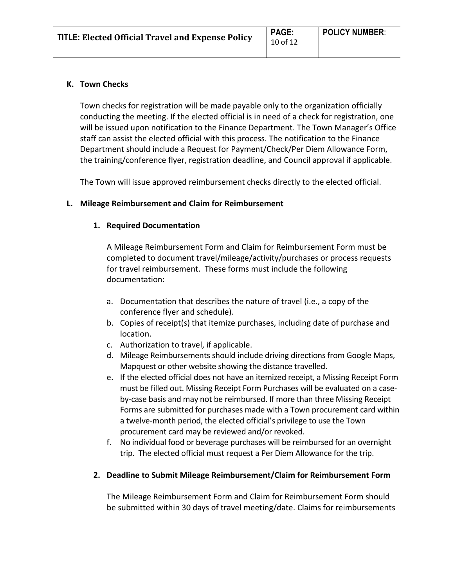#### **K. Town Checks**

Town checks for registration will be made payable only to the organization officially conducting the meeting. If the elected official is in need of a check for registration, one will be issued upon notification to the Finance Department. The Town Manager's Office staff can assist the elected official with this process. The notification to the Finance Department should include a Request for Payment/Check/Per Diem Allowance Form, the training/conference flyer, registration deadline, and Council approval if applicable.

The Town will issue approved reimbursement checks directly to the elected official.

#### **L. Mileage Reimbursement and Claim for Reimbursement**

#### **1. Required Documentation**

A Mileage Reimbursement Form and Claim for Reimbursement Form must be completed to document travel/mileage/activity/purchases or process requests for travel reimbursement. These forms must include the following documentation:

- a. Documentation that describes the nature of travel (i.e., a copy of the conference flyer and schedule).
- b. Copies of receipt(s) that itemize purchases, including date of purchase and location.
- c. Authorization to travel, if applicable.
- d. Mileage Reimbursements should include driving directions from Google Maps, Mapquest or other website showing the distance travelled.
- e. If the elected official does not have an itemized receipt, a Missing Receipt Form must be filled out. Missing Receipt Form Purchases will be evaluated on a caseby-case basis and may not be reimbursed. If more than three Missing Receipt Forms are submitted for purchases made with a Town procurement card within a twelve-month period, the elected official's privilege to use the Town procurement card may be reviewed and/or revoked.
- f. No individual food or beverage purchases will be reimbursed for an overnight trip. The elected official must request a Per Diem Allowance for the trip.

# **2. Deadline to Submit Mileage Reimbursement/Claim for Reimbursement Form**

The Mileage Reimbursement Form and Claim for Reimbursement Form should be submitted within 30 days of travel meeting/date. Claims for reimbursements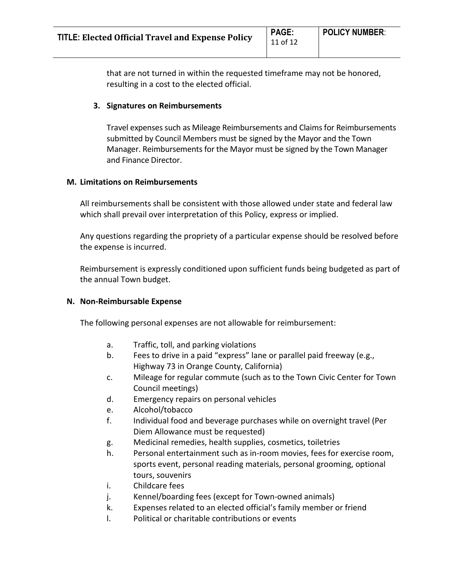that are not turned in within the requested timeframe may not be honored, resulting in a cost to the elected official.

# **3. Signatures on Reimbursements**

Travel expenses such as Mileage Reimbursements and Claims for Reimbursements submitted by Council Members must be signed by the Mayor and the Town Manager. Reimbursements for the Mayor must be signed by the Town Manager and Finance Director.

# **M. Limitations on Reimbursements**

All reimbursements shall be consistent with those allowed under state and federal law which shall prevail over interpretation of this Policy, express or implied.

Any questions regarding the propriety of a particular expense should be resolved before the expense is incurred.

Reimbursement is expressly conditioned upon sufficient funds being budgeted as part of the annual Town budget.

# **N. Non-Reimbursable Expense**

The following personal expenses are not allowable for reimbursement:

- a. Traffic, toll, and parking violations
- b. Fees to drive in a paid "express" lane or parallel paid freeway (e.g., Highway 73 in Orange County, California)
- c. Mileage for regular commute (such as to the Town Civic Center for Town Council meetings)
- d. Emergency repairs on personal vehicles
- e. Alcohol/tobacco
- f. Individual food and beverage purchases while on overnight travel (Per Diem Allowance must be requested)
- g. Medicinal remedies, health supplies, cosmetics, toiletries
- h. Personal entertainment such as in-room movies, fees for exercise room, sports event, personal reading materials, personal grooming, optional tours, souvenirs
- i. Childcare fees
- j. Kennel/boarding fees (except for Town-owned animals)
- k. Expenses related to an elected official's family member or friend
- l. Political or charitable contributions or events